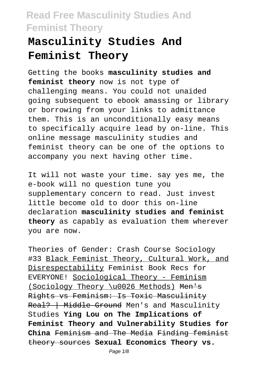# **Masculinity Studies And Feminist Theory**

Getting the books **masculinity studies and feminist theory** now is not type of challenging means. You could not unaided going subsequent to ebook amassing or library or borrowing from your links to admittance them. This is an unconditionally easy means to specifically acquire lead by on-line. This online message masculinity studies and feminist theory can be one of the options to accompany you next having other time.

It will not waste your time. say yes me, the e-book will no question tune you supplementary concern to read. Just invest little become old to door this on-line declaration **masculinity studies and feminist theory** as capably as evaluation them wherever you are now.

Theories of Gender: Crash Course Sociology #33 Black Feminist Theory, Cultural Work, and Disrespectability Feminist Book Recs for EVERYONE! Sociological Theory - Feminism (Sociology Theory \u0026 Methods) Men's Rights vs Feminism: Is Toxic Masculinity Real? | Middle Ground Men's and Masculinity Studies **Ying Lou on The Implications of Feminist Theory and Vulnerability Studies for China** Feminism and The Media Finding feminist theory sources **Sexual Economics Theory vs.**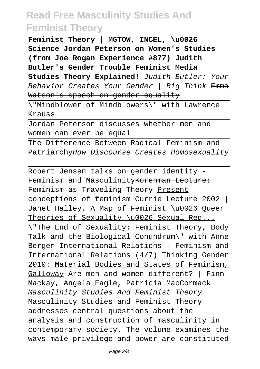**Feminist Theory | MGTOW, INCEL, \u0026 Science Jordan Peterson on Women's Studies (from Joe Rogan Experience #877) Judith Butler's Gender Trouble Feminist Media Studies Theory Explained!** Judith Butler: Your Behavior Creates Your Gender | Big Think Emma Watson's speech on gender equality

\"Mindblower of Mindblowers\" with Lawrence Krauss

Jordan Peterson discusses whether men and women can ever be equal

The Difference Between Radical Feminism and PatriarchyHow Discourse Creates Homosexuality

Robert Jensen talks on gender identity - Feminism and MasculinityKorenman Lecture: Feminism as Traveling Theory Present conceptions of feminism Currie Lecture 2002 | Janet Halley, A Map of Feminist \u0026 Queer Theories of Sexuality \u0026 Sexual Req... \"The End of Sexuality: Feminist Theory, Body Talk and the Biological Conundrum\" with Anne Berger International Relations – Feminism and International Relations (4/7) Thinking Gender 2010: Material Bodies and States of Feminism, Galloway Are men and women different? | Finn Mackay, Angela Eagle, Patricia MacCormack Masculinity Studies And Feminist Theory Masculinity Studies and Feminist Theory addresses central questions about the analysis and construction of masculinity in contemporary society. The volume examines the ways male privilege and power are constituted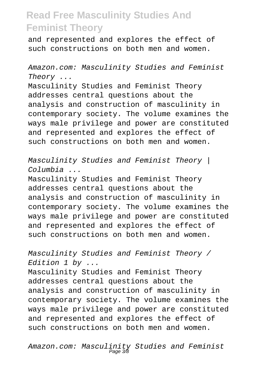and represented and explores the effect of such constructions on both men and women.

Amazon.com: Masculinity Studies and Feminist Theory ...

Masculinity Studies and Feminist Theory addresses central questions about the analysis and construction of masculinity in contemporary society. The volume examines the ways male privilege and power are constituted and represented and explores the effect of such constructions on both men and women.

Masculinity Studies and Feminist Theory | Columbia ...

Masculinity Studies and Feminist Theory addresses central questions about the analysis and construction of masculinity in contemporary society. The volume examines the ways male privilege and power are constituted and represented and explores the effect of such constructions on both men and women.

Masculinity Studies and Feminist Theory / Edition 1 by ...

Masculinity Studies and Feminist Theory addresses central questions about the analysis and construction of masculinity in contemporary society. The volume examines the ways male privilege and power are constituted and represented and explores the effect of such constructions on both men and women.

Amazon.com: Masculinity Studies and Feminist Page 3/8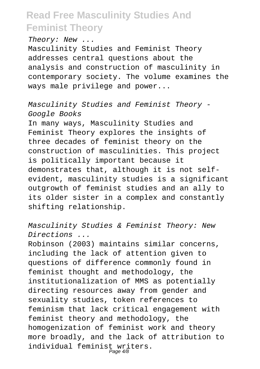Theory: New ...

Masculinity Studies and Feminist Theory addresses central questions about the analysis and construction of masculinity in contemporary society. The volume examines the ways male privilege and power...

Masculinity Studies and Feminist Theory - Google Books

In many ways, Masculinity Studies and Feminist Theory explores the insights of three decades of feminist theory on the construction of masculinities. This project is politically important because it demonstrates that, although it is not selfevident, masculinity studies is a significant outgrowth of feminist studies and an ally to its older sister in a complex and constantly shifting relationship.

Masculinity Studies & Feminist Theory: New Directions ...

Robinson (2003) maintains similar concerns, including the lack of attention given to questions of difference commonly found in feminist thought and methodology, the institutionalization of MMS as potentially directing resources away from gender and sexuality studies, token references to feminism that lack critical engagement with feminist theory and methodology, the homogenization of feminist work and theory more broadly, and the lack of attribution to individual feminist writers. Page 4/8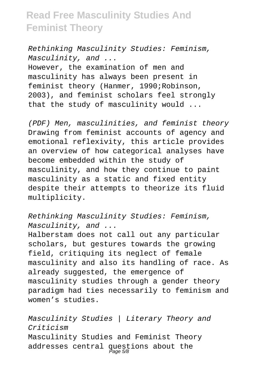Rethinking Masculinity Studies: Feminism, Masculinity, and ... However, the examination of men and masculinity has always been present in feminist theory (Hanmer, 1990;Robinson, 2003), and feminist scholars feel strongly that the study of masculinity would ...

(PDF) Men, masculinities, and feminist theory Drawing from feminist accounts of agency and emotional reflexivity, this article provides an overview of how categorical analyses have become embedded within the study of masculinity, and how they continue to paint masculinity as a static and fixed entity despite their attempts to theorize its fluid multiplicity.

Rethinking Masculinity Studies: Feminism, Masculinity, and ...

Halberstam does not call out any particular scholars, but gestures towards the growing field, critiquing its neglect of female masculinity and also its handling of race. As already suggested, the emergence of masculinity studies through a gender theory paradigm had ties necessarily to feminism and women's studies.

Masculinity Studies | Literary Theory and Criticism Masculinity Studies and Feminist Theory addresses central questions about the Page 5/8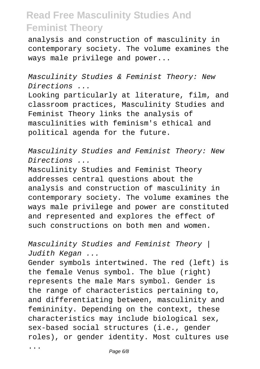analysis and construction of masculinity in contemporary society. The volume examines the ways male privilege and power...

Masculinity Studies & Feminist Theory: New Directions ...

Looking particularly at literature, film, and classroom practices, Masculinity Studies and Feminist Theory links the analysis of masculinities with feminism's ethical and political agenda for the future.

Masculinity Studies and Feminist Theory: New Directions ...

Masculinity Studies and Feminist Theory addresses central questions about the analysis and construction of masculinity in contemporary society. The volume examines the ways male privilege and power are constituted and represented and explores the effect of such constructions on both men and women.

Masculinity Studies and Feminist Theory | Judith Kegan ...

Gender symbols intertwined. The red (left) is the female Venus symbol. The blue (right) represents the male Mars symbol. Gender is the range of characteristics pertaining to, and differentiating between, masculinity and femininity. Depending on the context, these characteristics may include biological sex, sex-based social structures (i.e., gender roles), or gender identity. Most cultures use

...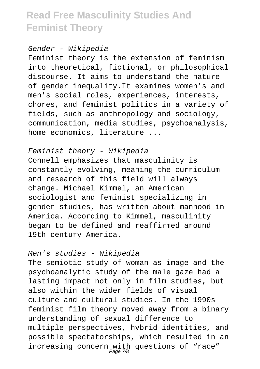Gender - Wikipedia

Feminist theory is the extension of feminism into theoretical, fictional, or philosophical discourse. It aims to understand the nature of gender inequality.It examines women's and men's social roles, experiences, interests, chores, and feminist politics in a variety of fields, such as anthropology and sociology, communication, media studies, psychoanalysis, home economics, literature ...

Feminist theory - Wikipedia Connell emphasizes that masculinity is constantly evolving, meaning the curriculum and research of this field will always change. Michael Kimmel, an American sociologist and feminist specializing in gender studies, has written about manhood in America. According to Kimmel, masculinity began to be defined and reaffirmed around 19th century America.

#### Men's studies - Wikipedia

The semiotic study of woman as image and the psychoanalytic study of the male gaze had a lasting impact not only in film studies, but also within the wider fields of visual culture and cultural studies. In the 1990s feminist film theory moved away from a binary understanding of sexual difference to multiple perspectives, hybrid identities, and possible spectatorships, which resulted in an increasing concern with questions of "race" Page 7/8